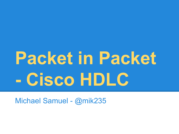# **Packet in Packet - Cisco HDLC**

Michael Samuel - @mik235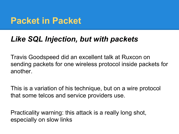## **Packet in Packet**

#### *Like SQL Injection, but with packets*

Travis Goodspeed did an excellent talk at Ruxcon on sending packets for one wireless protocol inside packets for another.

This is a variation of his technique, but on a wire protocol that some telcos and service providers use.

Practicality warning: this attack is a really long shot, especially on slow links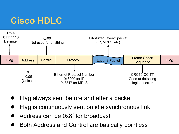# **Cisco HDLC**



- Flag always sent before and after a packet
- Flag is continuously sent on idle synchronous link
- Address can be 0x8f for broadcast
- **Both Address and Control are basically pointless**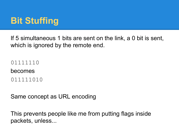# **Bit Stuffing**

If 5 simultaneous 1 bits are sent on the link, a 0 bit is sent, which is ignored by the remote end.

01111110 becomes 011111010

Same concept as URL encoding

This prevents people like me from putting flags inside packets, unless...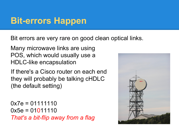### **Bit-errors Happen**

Bit errors are very rare on good clean optical links.

Many microwave links are using POS, which would usually use a HDLC-like encapsulation

If there's a Cisco router on each end they will probably be talking cHDLC (the default setting)

 $0x7e = 01111110$  $0x5e = 01011110$ *That's a bit-flip away from a flag*

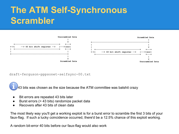# **The ATM Self-Synchronous Scrambler**



draft-ferguson-pppsonet-selfsync-00.txt

43 bits was chosen as the size because the ATM committee was batshit crazy

- Bit errors are repeated 43 bits later
- Burst errors (> 43 bits) randomize packet data
- Recovers after 43 bits of clean data

The most likely way you'll get a working exploit is for a burst error to scramble the first 3 bits of your faux-flag. If such a lucky coincidence occurred, there'd be a 12.5% chance of this exploit working.

A random bit-error 40 bits before our faux-flag would also work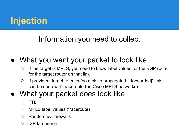# **Injection**

#### Information you need to collect

#### • What you want your packet to look like

- $\circ$  If the target is MPLS, you need to know label values for the BGP route for the target router on that link
- $\circ$  If providers forget to enter 'no mpls ip propagate-ttl [forwarded]', this can be done with traceroute (on Cisco MPLS networks)

#### What your packet does look like

- TTL
- MPLS label values (traceroute)
- Random evil firewalls
- ISP tampering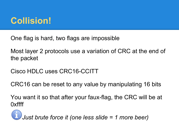# **Collision!**

One flag is hard, two flags are impossible

Most layer 2 protocols use a variation of CRC at the end of the packet

Cisco HDLC uses CRC16-CCITT

CRC16 can be reset to any value by manipulating 16 bits

You want it so that after your faux-flag, the CRC will be at 0xffff

 *Just brute force it (one less slide = 1 more beer)*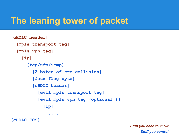# **The leaning tower of packet**

```
[cHDLC header]
  [mpls transport tag]
  [mpls vpn tag]
    [ip]
      [tcp/udp/icmp]
        [2 bytes of crc collision]
        [faux flag byte]
        [cHDLC header]
          [evil mpls transport tag]
          [evil mpls vpn tag (optional!)]
            [ip]
....
```
**[cHDLC FCS]**

*Stuff you need to know Stuff you control*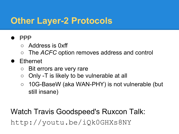# **Other Layer-2 Protocols**

#### ● PPP

- Address is 0xff
- The *ACFC* option removes address and control

#### ● Ethernet

- Bit errors are very rare
- Only -T is likely to be vulnerable at all
- 10G-BaseW (aka WAN-PHY) is not vulnerable (but still insane)

Watch Travis Goodspeed's Ruxcon Talk: http://youtu.be/iQk0GHXs8NY